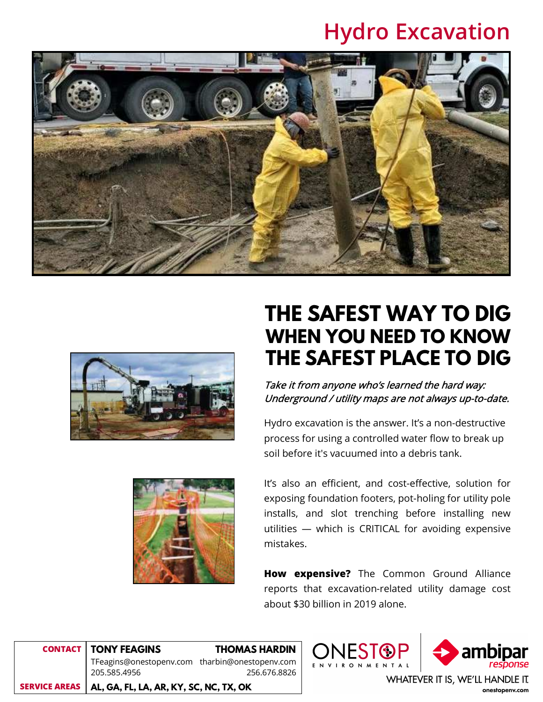# **Hydro Excavation**





# **THE SAFEST WAY TO DIG WHEN YOU NEED TO KNOW THE SAFEST PLACE TO DIG**

Take it from anyone who's learned the hard way: Underground / utility maps are not always up-to-date.

Hydro excavation is the answer. It's a non-destructive process for using a controlled water flow to break up soil before it's vacuumed into a debris tank.



It's also an efficient, and cost-effective, solution for exposing foundation footers, pot-holing for utility pole installs, and slot trenching before installing new utilities — which is CRITICAL for avoiding expensive mistakes.

**How expensive?** The Common Ground Alliance reports that excavation-related utility damage cost about \$30 billion in 2019 alone.

**IFST®F** 

**CONTACT SERVICE AREAS TONY FEAGINS THOMAS HARDIN** TFeagins@onestopenv.comtharbin@onestopenv.com 205.585.4956 256.676.8826 **AL, GA, FL, LA, AR, KY, SC, NC, TX, OK**



WHATEVER IT IS, WE'LL HANDLE IT. onestopenv.com